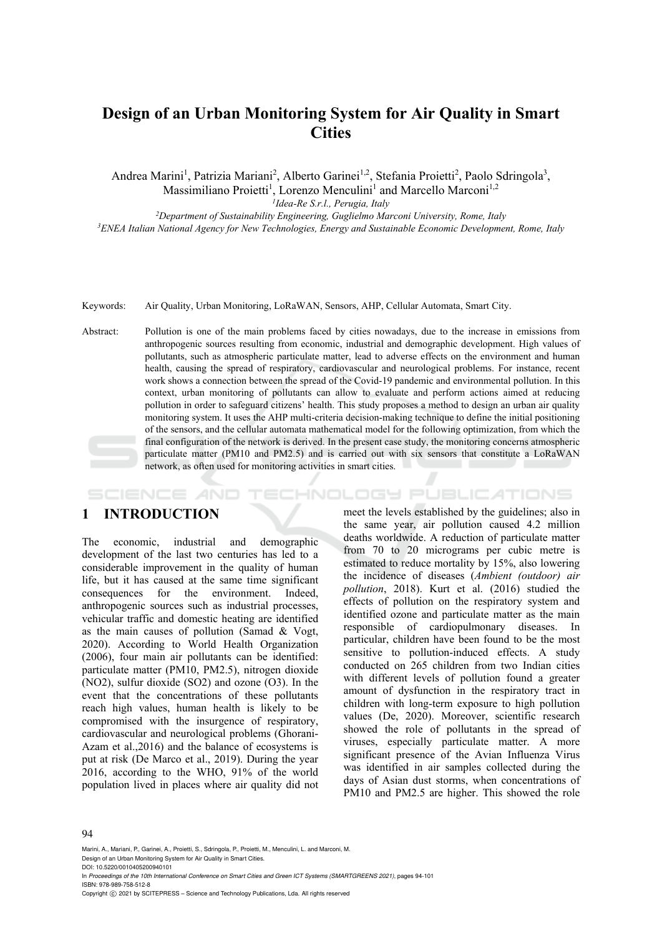# **Design of an Urban Monitoring System for Air Quality in Smart Cities**

Andrea Marini<sup>1</sup>, Patrizia Mariani<sup>2</sup>, Alberto Garinei<sup>1,2</sup>, Stefania Proietti<sup>2</sup>, Paolo Sdringola<sup>3</sup>,

Massimiliano Proietti<sup>1</sup>, Lorenzo Menculini<sup>1</sup> and Marcello Marconi<sup>1,2</sup>

<sup>1</sup>Idea-Re S.r.l., Perugia, Italy<br><sup>2</sup>Department of Sustainability Engineering, Guglielmo Marconi University, Rome, Italy *Department of Sustainability Engineering, Guglielmo Marconi University, Rome, Italy 3 ENEA Italian National Agency for New Technologies, Energy and Sustainable Economic Development, Rome, Italy* 

Keywords: Air Quality, Urban Monitoring, LoRaWAN, Sensors, AHP, Cellular Automata, Smart City.

Abstract: Pollution is one of the main problems faced by cities nowadays, due to the increase in emissions from anthropogenic sources resulting from economic, industrial and demographic development. High values of pollutants, such as atmospheric particulate matter, lead to adverse effects on the environment and human health, causing the spread of respiratory, cardiovascular and neurological problems. For instance, recent work shows a connection between the spread of the Covid-19 pandemic and environmental pollution. In this context, urban monitoring of pollutants can allow to evaluate and perform actions aimed at reducing pollution in order to safeguard citizens' health. This study proposes a method to design an urban air quality monitoring system. It uses the AHP multi-criteria decision-making technique to define the initial positioning of the sensors, and the cellular automata mathematical model for the following optimization, from which the final configuration of the network is derived. In the present case study, the monitoring concerns atmospheric particulate matter (PM10 and PM2.5) and is carried out with six sensors that constitute a LoRaWAN network, as often used for monitoring activities in smart cities.

## **1 INTRODUCTION**

SCIENCE *A*ND

The economic, industrial and demographic development of the last two centuries has led to a considerable improvement in the quality of human life, but it has caused at the same time significant consequences for the environment. Indeed, anthropogenic sources such as industrial processes, vehicular traffic and domestic heating are identified as the main causes of pollution (Samad & Vogt, 2020). According to World Health Organization (2006), four main air pollutants can be identified: particulate matter (PM10, PM2.5), nitrogen dioxide (NO2), sulfur dioxide (SO2) and ozone (O3). In the event that the concentrations of these pollutants reach high values, human health is likely to be compromised with the insurgence of respiratory, cardiovascular and neurological problems (Ghorani-Azam et al.,2016) and the balance of ecosystems is put at risk (De Marco et al., 2019). During the year 2016, according to the WHO, 91% of the world population lived in places where air quality did not

meet the levels established by the guidelines; also in the same year, air pollution caused 4.2 million deaths worldwide. A reduction of particulate matter from 70 to 20 micrograms per cubic metre is estimated to reduce mortality by 15%, also lowering the incidence of diseases (*Ambient (outdoor) air pollution*, 2018). Kurt et al. (2016) studied the effects of pollution on the respiratory system and identified ozone and particulate matter as the main responsible of cardiopulmonary diseases. In particular, children have been found to be the most sensitive to pollution-induced effects. A study conducted on 265 children from two Indian cities with different levels of pollution found a greater amount of dysfunction in the respiratory tract in children with long-term exposure to high pollution values (De, 2020). Moreover, scientific research showed the role of pollutants in the spread of viruses, especially particulate matter. A more significant presence of the Avian Influenza Virus was identified in air samples collected during the days of Asian dust storms, when concentrations of PM10 and PM2.5 are higher. This showed the role

HNOLOGY PUBLICATIONS

#### 94

Marini, A., Mariani, P., Garinei, A., Proietti, S., Sdringola, P., Proietti, M., Menculini, L. and Marconi, M. Design of an Urban Monitoring System for Air Quality in Smart Cities.

DOI: 10.5220/0010405200940101

In *Proceedings of the 10th International Conference on Smart Cities and Green ICT Systems (SMARTGREENS 2021)*, pages 94-101 ISBN: 978-989-758-512-8

Copyright © 2021 by SCITEPRESS - Science and Technology Publications, Lda. All rights reserved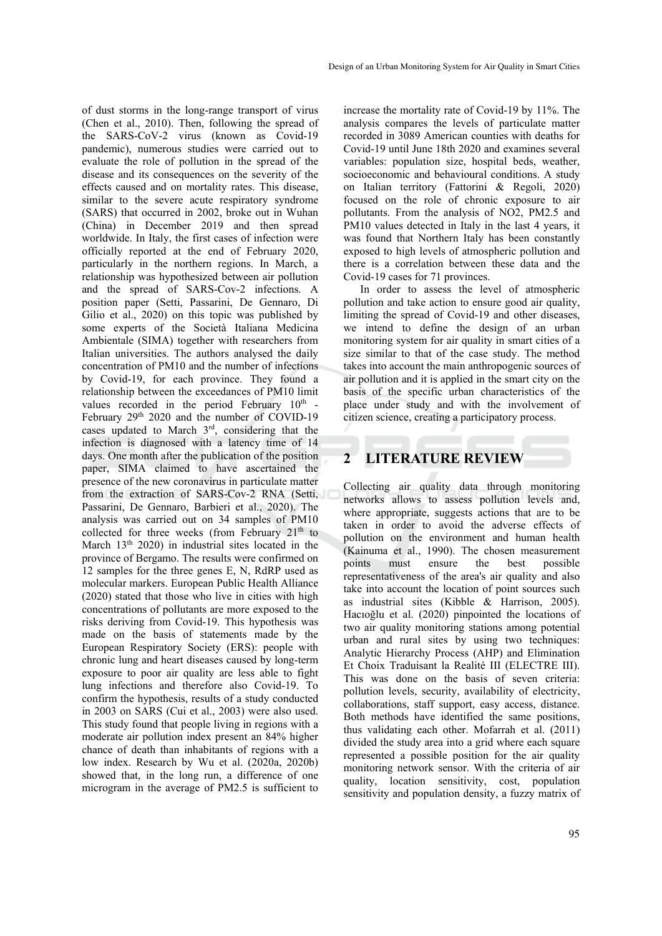of dust storms in the long-range transport of virus (Chen et al., 2010). Then, following the spread of the SARS-CoV-2 virus (known as Covid-19 pandemic), numerous studies were carried out to evaluate the role of pollution in the spread of the disease and its consequences on the severity of the effects caused and on mortality rates. This disease, similar to the severe acute respiratory syndrome (SARS) that occurred in 2002, broke out in Wuhan (China) in December 2019 and then spread worldwide. In Italy, the first cases of infection were officially reported at the end of February 2020, particularly in the northern regions. In March, a relationship was hypothesized between air pollution and the spread of SARS-Cov-2 infections. A position paper (Setti, Passarini, De Gennaro, Di Gilio et al., 2020) on this topic was published by some experts of the Società Italiana Medicina Ambientale (SIMA) together with researchers from Italian universities. The authors analysed the daily concentration of PM10 and the number of infections by Covid-19, for each province. They found a relationship between the exceedances of PM10 limit values recorded in the period February 10<sup>th</sup> -February 29<sup>th</sup> 2020 and the number of COVID-19 cases updated to March 3rd, considering that the infection is diagnosed with a latency time of 14 days. One month after the publication of the position paper, SIMA claimed to have ascertained the presence of the new coronavirus in particulate matter from the extraction of SARS-Cov-2 RNA (Setti, Passarini, De Gennaro, Barbieri et al., 2020). The analysis was carried out on 34 samples of PM10 collected for three weeks (from February  $21<sup>th</sup>$  to March 13<sup>th</sup> 2020) in industrial sites located in the province of Bergamo. The results were confirmed on 12 samples for the three genes E, N, RdRP used as molecular markers. European Public Health Alliance (2020) stated that those who live in cities with high concentrations of pollutants are more exposed to the risks deriving from Covid-19. This hypothesis was made on the basis of statements made by the European Respiratory Society (ERS): people with chronic lung and heart diseases caused by long-term exposure to poor air quality are less able to fight lung infections and therefore also Covid-19. To confirm the hypothesis, results of a study conducted in 2003 on SARS (Cui et al., 2003) were also used. This study found that people living in regions with a moderate air pollution index present an 84% higher chance of death than inhabitants of regions with a low index. Research by Wu et al. (2020a, 2020b) showed that, in the long run, a difference of one microgram in the average of PM2.5 is sufficient to

increase the mortality rate of Covid-19 by 11%. The analysis compares the levels of particulate matter recorded in 3089 American counties with deaths for Covid-19 until June 18th 2020 and examines several variables: population size, hospital beds, weather, socioeconomic and behavioural conditions. A study on Italian territory (Fattorini & Regoli, 2020) focused on the role of chronic exposure to air pollutants. From the analysis of NO2, PM2.5 and PM10 values detected in Italy in the last 4 years, it was found that Northern Italy has been constantly exposed to high levels of atmospheric pollution and there is a correlation between these data and the Covid-19 cases for 71 provinces.

In order to assess the level of atmospheric pollution and take action to ensure good air quality, limiting the spread of Covid-19 and other diseases, we intend to define the design of an urban monitoring system for air quality in smart cities of a size similar to that of the case study. The method takes into account the main anthropogenic sources of air pollution and it is applied in the smart city on the basis of the specific urban characteristics of the place under study and with the involvement of citizen science, creating a participatory process.

## **2 LITERATURE REVIEW**

Collecting air quality data through monitoring networks allows to assess pollution levels and, where appropriate, suggests actions that are to be taken in order to avoid the adverse effects of pollution on the environment and human health (Kainuma et al., 1990). The chosen measurement points must ensure the best possible representativeness of the area's air quality and also take into account the location of point sources such as industrial sites (Kibble & Harrison, 2005). Hacıoğlu et al. (2020) pinpointed the locations of two air quality monitoring stations among potential urban and rural sites by using two techniques: Analytic Hierarchy Process (AHP) and Elimination Et Choix Traduisant la Realité III (ELECTRE III). This was done on the basis of seven criteria: pollution levels, security, availability of electricity, collaborations, staff support, easy access, distance. Both methods have identified the same positions, thus validating each other. Mofarrah et al. (2011) divided the study area into a grid where each square represented a possible position for the air quality monitoring network sensor. With the criteria of air quality, location sensitivity, cost, population sensitivity and population density, a fuzzy matrix of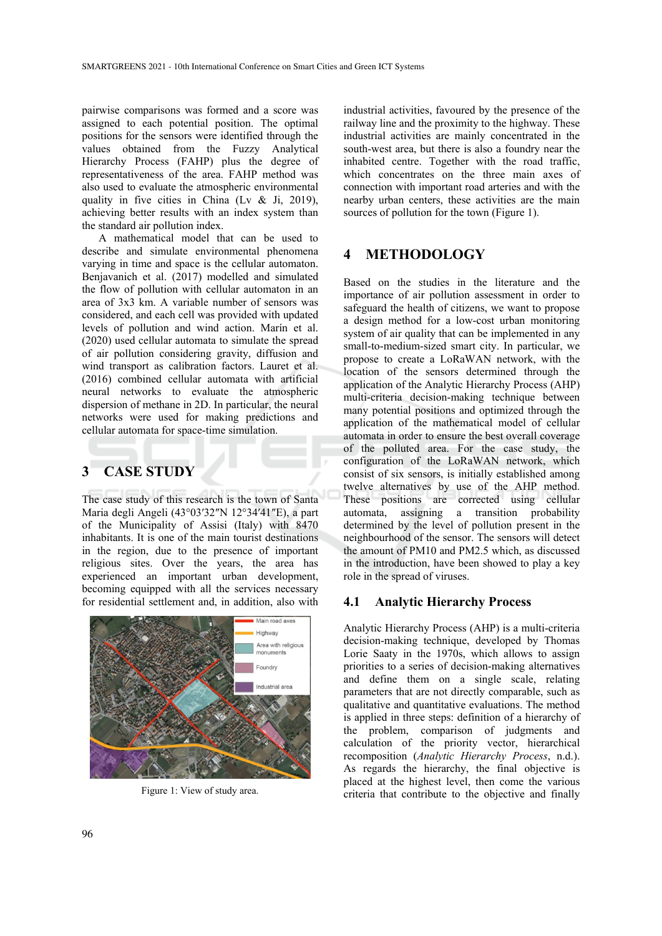pairwise comparisons was formed and a score was assigned to each potential position. The optimal positions for the sensors were identified through the values obtained from the Fuzzy Analytical Hierarchy Process (FAHP) plus the degree of representativeness of the area. FAHP method was also used to evaluate the atmospheric environmental quality in five cities in China (Lv & Ji, 2019), achieving better results with an index system than the standard air pollution index.

A mathematical model that can be used to describe and simulate environmental phenomena varying in time and space is the cellular automaton. Benjavanich et al. (2017) modelled and simulated the flow of pollution with cellular automaton in an area of 3x3 km. A variable number of sensors was considered, and each cell was provided with updated levels of pollution and wind action. Marín et al. (2020) used cellular automata to simulate the spread of air pollution considering gravity, diffusion and wind transport as calibration factors. Lauret et al. (2016) combined cellular automata with artificial neural networks to evaluate the atmospheric dispersion of methane in 2D. In particular, the neural networks were used for making predictions and cellular automata for space-time simulation.

## **3 CASE STUDY**

The case study of this research is the town of Santa Maria degli Angeli (43°03′32″N 12°34′41″E), a part of the Municipality of Assisi (Italy) with 8470 inhabitants. It is one of the main tourist destinations in the region, due to the presence of important religious sites. Over the years, the area has experienced an important urban development, becoming equipped with all the services necessary for residential settlement and, in addition, also with



Figure 1: View of study area.

industrial activities, favoured by the presence of the railway line and the proximity to the highway. These industrial activities are mainly concentrated in the south-west area, but there is also a foundry near the inhabited centre. Together with the road traffic, which concentrates on the three main axes of connection with important road arteries and with the nearby urban centers, these activities are the main sources of pollution for the town (Figure 1).

## **4 METHODOLOGY**

Based on the studies in the literature and the importance of air pollution assessment in order to safeguard the health of citizens, we want to propose a design method for a low-cost urban monitoring system of air quality that can be implemented in any small-to-medium-sized smart city. In particular, we propose to create a LoRaWAN network, with the location of the sensors determined through the application of the Analytic Hierarchy Process (AHP) multi-criteria decision-making technique between many potential positions and optimized through the application of the mathematical model of cellular automata in order to ensure the best overall coverage of the polluted area. For the case study, the configuration of the LoRaWAN network, which consist of six sensors, is initially established among twelve alternatives by use of the AHP method. These positions are corrected using cellular automata, assigning a transition probability determined by the level of pollution present in the neighbourhood of the sensor. The sensors will detect the amount of PM10 and PM2.5 which, as discussed in the introduction, have been showed to play a key role in the spread of viruses.

#### **4.1 Analytic Hierarchy Process**

Analytic Hierarchy Process (AHP) is a multi-criteria decision-making technique, developed by Thomas Lorie Saaty in the 1970s, which allows to assign priorities to a series of decision-making alternatives and define them on a single scale, relating parameters that are not directly comparable, such as qualitative and quantitative evaluations. The method is applied in three steps: definition of a hierarchy of the problem, comparison of judgments and calculation of the priority vector, hierarchical recomposition (*Analytic Hierarchy Process*, n.d.). As regards the hierarchy, the final objective is placed at the highest level, then come the various criteria that contribute to the objective and finally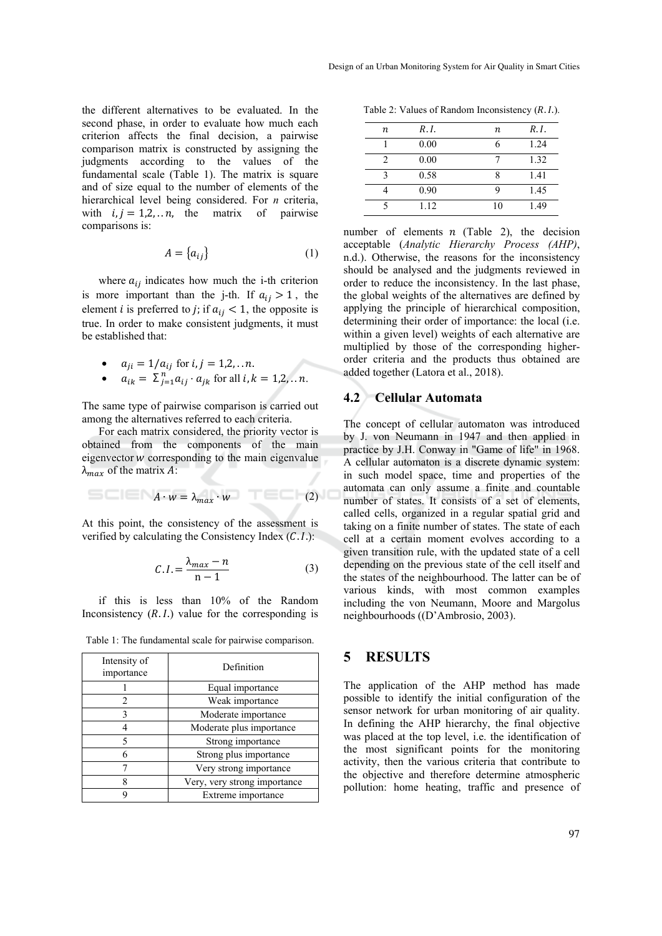the different alternatives to be evaluated. In the second phase, in order to evaluate how much each criterion affects the final decision, a pairwise comparison matrix is constructed by assigning the judgments according to the values of the fundamental scale (Table 1). The matrix is square and of size equal to the number of elements of the hierarchical level being considered. For *n* criteria, with  $i, j = 1, 2, \dots n$ , the matrix of pairwise comparisons is:

$$
A = \{a_{ij}\}\tag{1}
$$

where  $a_{ij}$  indicates how much the i-th criterion is more important than the j-th. If  $a_{ij} > 1$ , the element *i* is preferred to *j*; if  $a_{ij} < 1$ , the opposite is true. In order to make consistent judgments, it must be established that:

• 
$$
a_{ji} = 1/a_{ij}
$$
 for  $i, j = 1, 2, ... n$ .

• 
$$
a_{ik} = \sum_{j=1}^{n} a_{ij} \cdot a_{jk}
$$
 for all  $i, k = 1, 2, \ldots n$ .

The same type of pairwise comparison is carried out among the alternatives referred to each criteria.

For each matrix considered, the priority vector is obtained from the components of the main eigenvector  $w$  corresponding to the main eigenvalue  $\lambda_{max}$  of the matrix A:

$$
A \cdot w = \lambda_{max} \cdot w \tag{2}
$$

At this point, the consistency of the assessment is verified by calculating the Consistency Index  $(C.1)$ :

$$
C.I. = \frac{\lambda_{max} - n}{n - 1} \tag{3}
$$

if this is less than 10% of the Random Inconsistency  $(R. I.)$  value for the corresponding is

| Intensity of<br>importance | Definition                   |  |  |
|----------------------------|------------------------------|--|--|
|                            | Equal importance             |  |  |
|                            | Weak importance              |  |  |
|                            | Moderate importance          |  |  |
|                            | Moderate plus importance     |  |  |
|                            | Strong importance            |  |  |
|                            | Strong plus importance       |  |  |
|                            | Very strong importance       |  |  |
|                            | Very, very strong importance |  |  |
|                            | Extreme importance           |  |  |

Table 1: The fundamental scale for pairwise comparison.

Table 2: Values of Random Inconsistency  $(R. I.)$ .

| n | R.I. | n  | R.I. |
|---|------|----|------|
|   | 0.00 | 6  | 1.24 |
| 2 | 0.00 |    | 1.32 |
| 2 | 0.58 |    | 1.41 |
|   | 0.90 |    | 1.45 |
|   | 1.12 | 10 | 1.49 |

number of elements  $n$  (Table 2), the decision acceptable (*Analytic Hierarchy Process (AHP)*, n.d.). Otherwise, the reasons for the inconsistency should be analysed and the judgments reviewed in order to reduce the inconsistency. In the last phase, the global weights of the alternatives are defined by applying the principle of hierarchical composition, determining their order of importance: the local (i.e. within a given level) weights of each alternative are multiplied by those of the corresponding higherorder criteria and the products thus obtained are added together (Latora et al., 2018).

#### **4.2 Cellular Automata**

The concept of cellular automaton was introduced by J. von Neumann in 1947 and then applied in practice by J.H. Conway in "Game of life" in 1968. A cellular automaton is a discrete dynamic system: in such model space, time and properties of the automata can only assume a finite and countable number of states. It consists of a set of elements, called cells, organized in a regular spatial grid and taking on a finite number of states. The state of each cell at a certain moment evolves according to a given transition rule, with the updated state of a cell depending on the previous state of the cell itself and the states of the neighbourhood. The latter can be of various kinds, with most common examples including the von Neumann, Moore and Margolus neighbourhoods ((D'Ambrosio, 2003).

### **5 RESULTS**

The application of the AHP method has made possible to identify the initial configuration of the sensor network for urban monitoring of air quality. In defining the AHP hierarchy, the final objective was placed at the top level, i.e. the identification of the most significant points for the monitoring activity, then the various criteria that contribute to the objective and therefore determine atmospheric pollution: home heating, traffic and presence of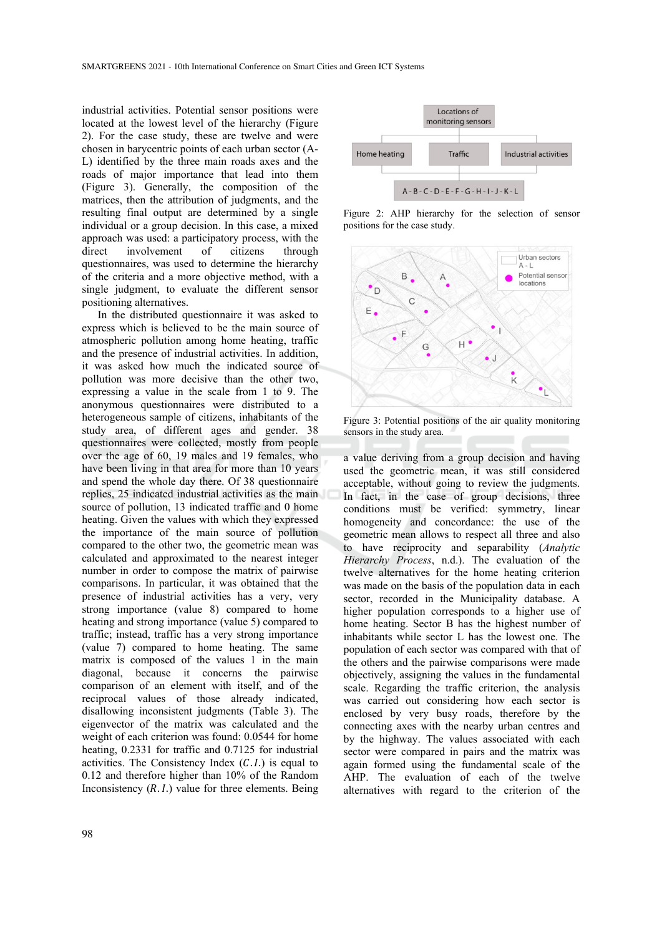industrial activities. Potential sensor positions were located at the lowest level of the hierarchy (Figure 2). For the case study, these are twelve and were chosen in barycentric points of each urban sector (A-L) identified by the three main roads axes and the roads of major importance that lead into them (Figure 3). Generally, the composition of the matrices, then the attribution of judgments, and the resulting final output are determined by a single individual or a group decision. In this case, a mixed approach was used: a participatory process, with the direct involvement of citizens through questionnaires, was used to determine the hierarchy of the criteria and a more objective method, with a single judgment, to evaluate the different sensor positioning alternatives.

In the distributed questionnaire it was asked to express which is believed to be the main source of atmospheric pollution among home heating, traffic and the presence of industrial activities. In addition, it was asked how much the indicated source of pollution was more decisive than the other two, expressing a value in the scale from 1 to 9. The anonymous questionnaires were distributed to a heterogeneous sample of citizens, inhabitants of the study area, of different ages and gender. 38 questionnaires were collected, mostly from people over the age of 60, 19 males and 19 females, who have been living in that area for more than 10 years and spend the whole day there. Of 38 questionnaire replies, 25 indicated industrial activities as the main source of pollution, 13 indicated traffic and 0 home heating. Given the values with which they expressed the importance of the main source of pollution compared to the other two, the geometric mean was calculated and approximated to the nearest integer number in order to compose the matrix of pairwise comparisons. In particular, it was obtained that the presence of industrial activities has a very, very strong importance (value 8) compared to home heating and strong importance (value 5) compared to traffic; instead, traffic has a very strong importance (value 7) compared to home heating. The same matrix is composed of the values 1 in the main diagonal, because it concerns the pairwise comparison of an element with itself, and of the reciprocal values of those already indicated, disallowing inconsistent judgments (Table 3). The eigenvector of the matrix was calculated and the weight of each criterion was found: 0.0544 for home heating, 0.2331 for traffic and 0.7125 for industrial activities. The Consistency Index  $(C.1)$  is equal to 0.12 and therefore higher than 10% of the Random Inconsistency  $(R, I)$  value for three elements. Being



Figure 2: AHP hierarchy for the selection of sensor positions for the case study.



Figure 3: Potential positions of the air quality monitoring sensors in the study area.

a value deriving from a group decision and having used the geometric mean, it was still considered acceptable, without going to review the judgments. In fact, in the case of group decisions, three conditions must be verified: symmetry, linear homogeneity and concordance: the use of the geometric mean allows to respect all three and also to have reciprocity and separability (*Analytic Hierarchy Process*, n.d.). The evaluation of the twelve alternatives for the home heating criterion was made on the basis of the population data in each sector, recorded in the Municipality database. A higher population corresponds to a higher use of home heating. Sector B has the highest number of inhabitants while sector L has the lowest one. The population of each sector was compared with that of the others and the pairwise comparisons were made objectively, assigning the values in the fundamental scale. Regarding the traffic criterion, the analysis was carried out considering how each sector is enclosed by very busy roads, therefore by the connecting axes with the nearby urban centres and by the highway. The values associated with each sector were compared in pairs and the matrix was again formed using the fundamental scale of the AHP. The evaluation of each of the twelve alternatives with regard to the criterion of the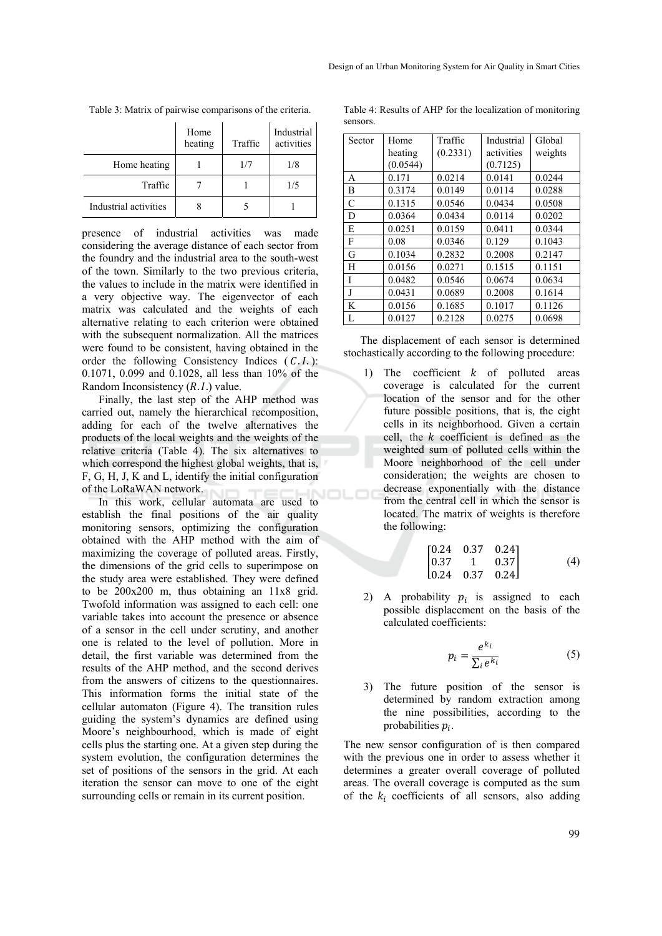|                       | Home<br>heating | Traffic | Industrial<br>activities |
|-----------------------|-----------------|---------|--------------------------|
| Home heating          |                 | 1/7     | 1/8                      |
| Traffic               |                 |         | 1/5                      |
| Industrial activities |                 |         |                          |

Table 3: Matrix of pairwise comparisons of the criteria.

presence of industrial activities was made considering the average distance of each sector from the foundry and the industrial area to the south-west of the town. Similarly to the two previous criteria, the values to include in the matrix were identified in a very objective way. The eigenvector of each matrix was calculated and the weights of each alternative relating to each criterion were obtained with the subsequent normalization. All the matrices were found to be consistent, having obtained in the order the following Consistency Indices  $(C, I)$ : 0.1071, 0.099 and 0.1028, all less than 10% of the Random Inconsistency  $(R, I)$  value.

Finally, the last step of the AHP method was carried out, namely the hierarchical recomposition, adding for each of the twelve alternatives the products of the local weights and the weights of the relative criteria (Table 4). The six alternatives to which correspond the highest global weights, that is, F, G, H, J, K and L, identify the initial configuration of the LoRaWAN network.

In this work, cellular automata are used to establish the final positions of the air quality monitoring sensors, optimizing the configuration obtained with the AHP method with the aim of maximizing the coverage of polluted areas. Firstly, the dimensions of the grid cells to superimpose on the study area were established. They were defined to be 200x200 m, thus obtaining an 11x8 grid. Twofold information was assigned to each cell: one variable takes into account the presence or absence of a sensor in the cell under scrutiny, and another one is related to the level of pollution. More in detail, the first variable was determined from the results of the AHP method, and the second derives from the answers of citizens to the questionnaires. This information forms the initial state of the cellular automaton (Figure 4). The transition rules guiding the system's dynamics are defined using Moore's neighbourhood, which is made of eight cells plus the starting one. At a given step during the system evolution, the configuration determines the set of positions of the sensors in the grid. At each iteration the sensor can move to one of the eight surrounding cells or remain in its current position.

Table 4: Results of AHP for the localization of monitoring sensors.

| Sector | Home     | Traffic  | Industrial | Global  |
|--------|----------|----------|------------|---------|
|        | heating  | (0.2331) | activities | weights |
|        | (0.0544) |          | (0.7125)   |         |
| A      | 0.171    | 0.0214   | 0.0141     | 0.0244  |
| B      | 0.3174   | 0.0149   | 0.0114     | 0.0288  |
| C      | 0.1315   | 0.0546   | 0.0434     | 0.0508  |
| D      | 0.0364   | 0.0434   | 0.0114     | 0.0202  |
| E      | 0.0251   | 0.0159   | 0.0411     | 0.0344  |
| F      | 0.08     | 0.0346   | 0.129      | 0.1043  |
| G      | 0.1034   | 0.2832   | 0.2008     | 0.2147  |
| H      | 0.0156   | 0.0271   | 0.1515     | 0.1151  |
| Ī      | 0.0482   | 0.0546   | 0.0674     | 0.0634  |
| J      | 0.0431   | 0.0689   | 0.2008     | 0.1614  |
| K      | 0.0156   | 0.1685   | 0.1017     | 0.1126  |
| L      | 0.0127   | 0.2128   | 0.0275     | 0.0698  |

The displacement of each sensor is determined stochastically according to the following procedure:

1) The coefficient  $k$  of polluted areas coverage is calculated for the current location of the sensor and for the other future possible positions, that is, the eight cells in its neighborhood. Given a certain cell, the  $k$  coefficient is defined as the weighted sum of polluted cells within the Moore neighborhood of the cell under consideration; the weights are chosen to decrease exponentially with the distance from the central cell in which the sensor is located. The matrix of weights is therefore the following:

$$
\begin{bmatrix} 0.24 & 0.37 & 0.24 \\ 0.37 & 1 & 0.37 \\ 0.24 & 0.37 & 0.24 \end{bmatrix}
$$
 (4)

2) A probability  $p_i$  is assigned to each possible displacement on the basis of the calculated coefficients:

$$
p_i = \frac{e^{k_i}}{\sum_i e^{k_i}}\tag{5}
$$

3) The future position of the sensor is determined by random extraction among the nine possibilities, according to the probabilities  $p_i$ .

The new sensor configuration of is then compared with the previous one in order to assess whether it determines a greater overall coverage of polluted areas. The overall coverage is computed as the sum of the  $k_i$  coefficients of all sensors, also adding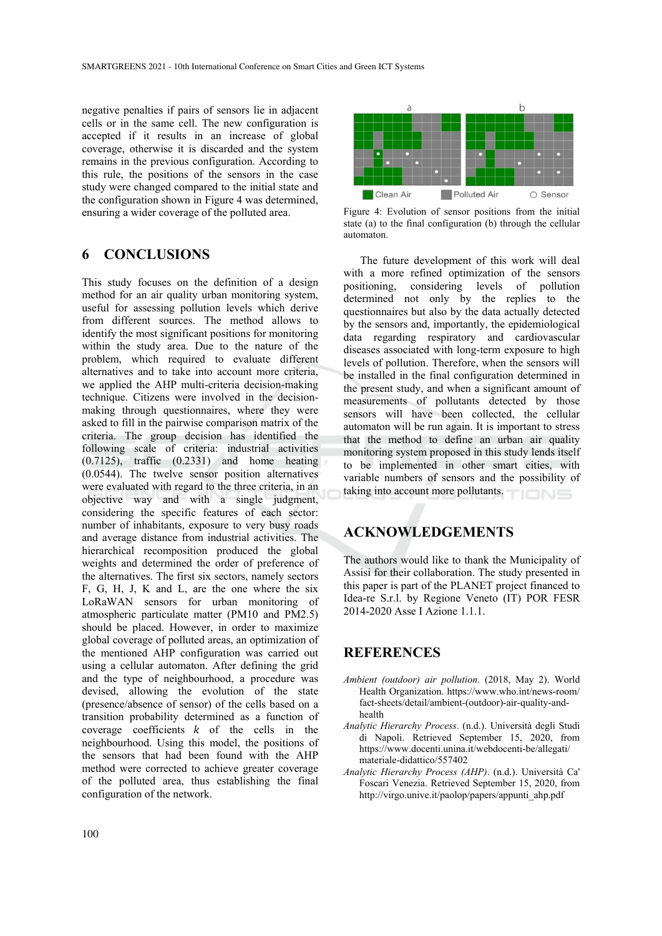negative penalties if pairs of sensors lie in adjacent cells or in the same cell. The new configuration is accepted if it results in an increase of global coverage, otherwise it is discarded and the system remains in the previous configuration. According to this rule, the positions of the sensors in the case study were changed compared to the initial state and the configuration shown in Figure 4 was determined, ensuring a wider coverage of the polluted area.

## **6 CONCLUSIONS**

This study focuses on the definition of a design method for an air quality urban monitoring system, useful for assessing pollution levels which derive from different sources. The method allows to identify the most significant positions for monitoring within the study area. Due to the nature of the problem, which required to evaluate different alternatives and to take into account more criteria, we applied the AHP multi-criteria decision-making technique. Citizens were involved in the decisionmaking through questionnaires, where they were asked to fill in the pairwise comparison matrix of the criteria. The group decision has identified the following scale of criteria: industrial activities (0.7125), traffic (0.2331) and home heating (0.0544). The twelve sensor position alternatives were evaluated with regard to the three criteria, in an objective way and with a single judgment, considering the specific features of each sector: number of inhabitants, exposure to very busy roads and average distance from industrial activities. The hierarchical recomposition produced the global weights and determined the order of preference of the alternatives. The first six sectors, namely sectors F, G, H, J, K and L, are the one where the six LoRaWAN sensors for urban monitoring of atmospheric particulate matter (PM10 and PM2.5) should be placed. However, in order to maximize global coverage of polluted areas, an optimization of the mentioned AHP configuration was carried out using a cellular automaton. After defining the grid and the type of neighbourhood, a procedure was devised, allowing the evolution of the state (presence/absence of sensor) of the cells based on a transition probability determined as a function of coverage coefficients  $k$  of the cells in the neighbourhood. Using this model, the positions of the sensors that had been found with the AHP method were corrected to achieve greater coverage of the polluted area, thus establishing the final configuration of the network.



Figure 4: Evolution of sensor positions from the initial state (a) to the final configuration (b) through the cellular automaton.

The future development of this work will deal with a more refined optimization of the sensors positioning, considering levels of pollution determined not only by the replies to the questionnaires but also by the data actually detected by the sensors and, importantly, the epidemiological data regarding respiratory and cardiovascular diseases associated with long-term exposure to high levels of pollution. Therefore, when the sensors will be installed in the final configuration determined in the present study, and when a significant amount of measurements of pollutants detected by those sensors will have been collected, the cellular automaton will be run again. It is important to stress that the method to define an urban air quality monitoring system proposed in this study lends itself to be implemented in other smart cities, with variable numbers of sensors and the possibility of taking into account more pollutants.

### **ACKNOWLEDGEMENTS**

The authors would like to thank the Municipality of Assisi for their collaboration. The study presented in this paper is part of the PLANET project financed to Idea-re S.r.l. by Regione Veneto (IT) POR FESR 2014-2020 Asse I Azione 1.1.1.

## **REFERENCES**

- *Ambient (outdoor) air pollution*. (2018, May 2). World Health Organization. https://www.who.int/news-room/ fact-sheets/detail/ambient-(outdoor)-air-quality-andhealth
- *Analytic Hierarchy Process*. (n.d.). Università degli Studi di Napoli. Retrieved September 15, 2020, from https://www.docenti.unina.it/webdocenti-be/allegati/ materiale-didattico/557402
- *Analytic Hierarchy Process (AHP)*. (n.d.). Università Ca' Foscari Venezia. Retrieved September 15, 2020, from http://virgo.unive.it/paolop/papers/appunti\_ahp.pdf